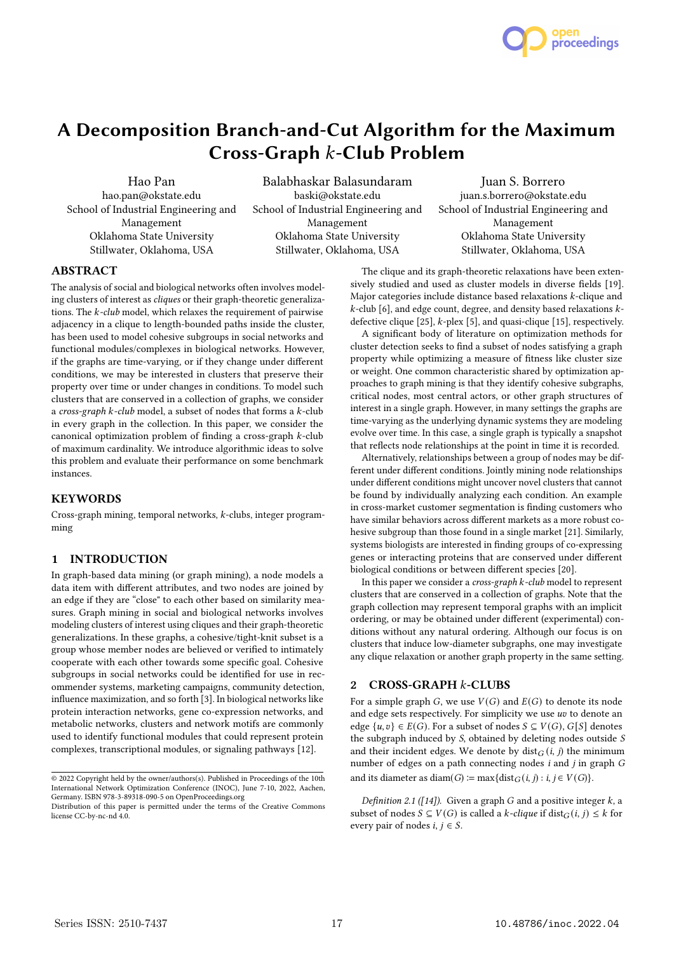

# A Decomposition Branch-and-Cut Algorithm for the Maximum Cross-Graph  $k$ -Club Problem

Hao Pan hao.pan@okstate.edu School of Industrial Engineering and Management Oklahoma State University Stillwater, Oklahoma, USA

Balabhaskar Balasundaram baski@okstate.edu School of Industrial Engineering and Management Oklahoma State University Stillwater, Oklahoma, USA

Juan S. Borrero juan.s.borrero@okstate.edu School of Industrial Engineering and Management Oklahoma State University Stillwater, Oklahoma, USA

# ABSTRACT

The analysis of social and biological networks often involves modeling clusters of interest as cliques or their graph-theoretic generalizations. The  $k$ -club model, which relaxes the requirement of pairwise adjacency in a clique to length-bounded paths inside the cluster, has been used to model cohesive subgroups in social networks and functional modules/complexes in biological networks. However, if the graphs are time-varying, or if they change under different conditions, we may be interested in clusters that preserve their property over time or under changes in conditions. To model such clusters that are conserved in a collection of graphs, we consider a cross-graph  $k$ -club model, a subset of nodes that forms a  $k$ -club in every graph in the collection. In this paper, we consider the canonical optimization problem of finding a cross-graph  $k$ -club of maximum cardinality. We introduce algorithmic ideas to solve this problem and evaluate their performance on some benchmark instances.

## KEYWORDS

Cross-graph mining, temporal networks,  $k$ -clubs, integer programming

## 1 INTRODUCTION

In graph-based data mining (or graph mining), a node models a data item with different attributes, and two nodes are joined by an edge if they are "close" to each other based on similarity measures. Graph mining in social and biological networks involves modeling clusters of interest using cliques and their graph-theoretic generalizations. In these graphs, a cohesive/tight-knit subset is a group whose member nodes are believed or verified to intimately cooperate with each other towards some specific goal. Cohesive subgroups in social networks could be identified for use in recommender systems, marketing campaigns, community detection, influence maximization, and so forth [3]. In biological networks like protein interaction networks, gene co-expression networks, and metabolic networks, clusters and network motifs are commonly used to identify functional modules that could represent protein complexes, transcriptional modules, or signaling pathways [12].

The clique and its graph-theoretic relaxations have been extensively studied and used as cluster models in diverse fields [19]. Major categories include distance based relaxations  $k$ -clique and  $k$ -club [6], and edge count, degree, and density based relaxations  $k$ defective clique  $[25]$ ,  $k$ -plex  $[5]$ , and quasi-clique  $[15]$ , respectively.

A significant body of literature on optimization methods for cluster detection seeks to find a subset of nodes satisfying a graph property while optimizing a measure of fitness like cluster size or weight. One common characteristic shared by optimization approaches to graph mining is that they identify cohesive subgraphs, critical nodes, most central actors, or other graph structures of interest in a single graph. However, in many settings the graphs are time-varying as the underlying dynamic systems they are modeling evolve over time. In this case, a single graph is typically a snapshot that reflects node relationships at the point in time it is recorded.

Alternatively, relationships between a group of nodes may be different under different conditions. Jointly mining node relationships under different conditions might uncover novel clusters that cannot be found by individually analyzing each condition. An example in cross-market customer segmentation is finding customers who have similar behaviors across different markets as a more robust cohesive subgroup than those found in a single market [21]. Similarly, systems biologists are interested in finding groups of co-expressing genes or interacting proteins that are conserved under different biological conditions or between different species [20].

In this paper we consider a cross-graph  $k$ -club model to represent clusters that are conserved in a collection of graphs. Note that the graph collection may represent temporal graphs with an implicit ordering, or may be obtained under different (experimental) conditions without any natural ordering. Although our focus is on clusters that induce low-diameter subgraphs, one may investigate any clique relaxation or another graph property in the same setting.

## 2 CROSS-GRAPH k-CLUBS

For a simple graph G, we use  $V(G)$  and  $E(G)$  to denote its node and edge sets respectively. For simplicity we use  $uv$  to denote an edge  $\{u, v\} \in E(G)$ . For a subset of nodes  $S \subseteq V(G)$ ,  $G[S]$  denotes the subgraph induced by  $S$ , obtained by deleting nodes outside  $S$ and their incident edges. We denote by  $dist_G(i, j)$  the minimum number of edges on a path connecting nodes  $i$  and  $j$  in graph  $G$ and its diameter as diam( $G$ )  $:=$  max{dist $_G(i, j) : i, j \in V(G)$ .

Definition 2.1 ([14]). Given a graph  $G$  and a positive integer  $k$ , a subset of nodes  $S \subseteq V(G)$  is called a k-clique if dist $_G(i, j) \leq k$  for every pair of nodes *i*,  $i \in S$ .

<sup>© 2022</sup> Copyright held by the owner/authors(s). Published in Proceedings of the 10th International Network Optimization Conference (INOC), June 7-10, 2022, Aachen, Germany. ISBN 978-3-89318-090-5 on OpenProceedings.org

Distribution of this paper is permitted under the terms of the Creative Commons license CC-by-nc-nd 4.0.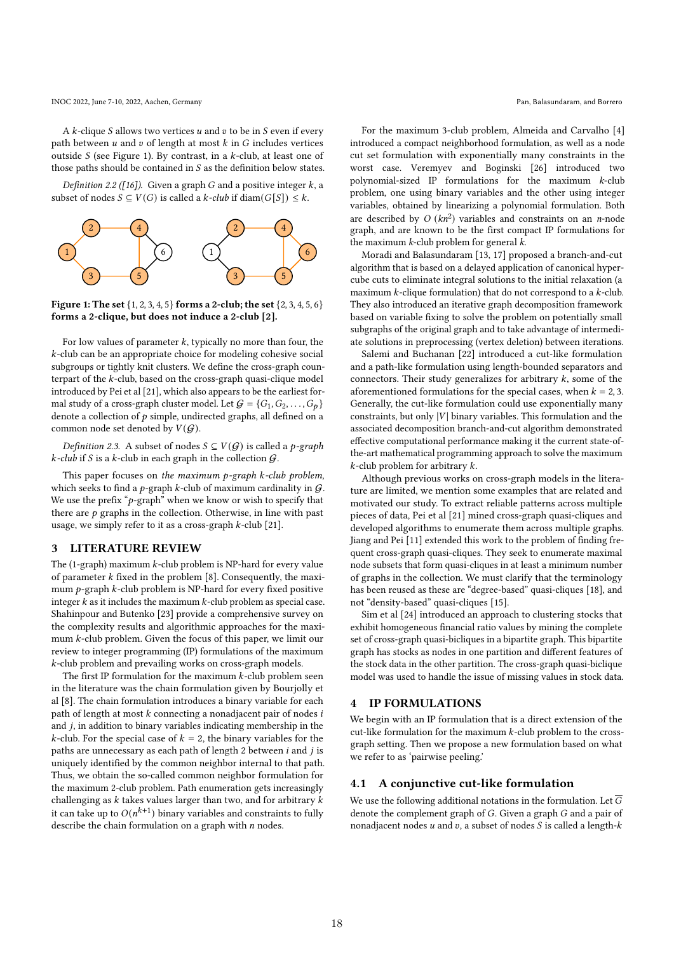INOC 2022, June 7-10, 2022, Aachen, Germany Pan, Balasundaram, and Borrero

A  $k$ -clique  $S$  allows two vertices  $u$  and  $v$  to be in  $S$  even if every path between  $u$  and  $v$  of length at most  $k$  in  $G$  includes vertices outside  $S$  (see Figure 1). By contrast, in a  $k$ -club, at least one of those paths should be contained in  $S$  as the definition below states.

Definition 2.2 ([16]). Given a graph  $G$  and a positive integer  $k$ , a subset of nodes  $S \subseteq V(G)$  is called a  $k$ -club if diam( $G[S]) \leq k$ .



Figure 1: The set {1, 2, 3, 4, 5} forms a 2-club; the set {2, 3, 4, 5, 6} forms a 2-clique, but does not induce a 2-club [2].

For low values of parameter  $k$ , typically no more than four, the  $k$ -club can be an appropriate choice for modeling cohesive social subgroups or tightly knit clusters. We define the cross-graph counterpart of the  $k$ -club, based on the cross-graph quasi-clique model introduced by Pei et al [21], which also appears to be the earliest formal study of a cross-graph cluster model. Let  $G = \{G_1, G_2, \ldots, G_p\}$ denote a collection of  $p$  simple, undirected graphs, all defined on a common node set denoted by  $V(G)$ .

Definition 2.3. A subset of nodes  $S \subseteq V(G)$  is called a *p*-graph  $k$ -club if S is a  $k$ -club in each graph in the collection  $G$ .

This paper focuses on the maximum  $p$ -graph  $k$ -club problem, which seeks to find a  $p$ -graph  $k$ -club of maximum cardinality in  $G$ . We use the prefix " $p$ -graph" when we know or wish to specify that there are  $p$  graphs in the collection. Otherwise, in line with past usage, we simply refer to it as a cross-graph  $k$ -club [21].

## 3 LITERATURE REVIEW

The (1-graph) maximum  $k$ -club problem is NP-hard for every value of parameter  $k$  fixed in the problem [8]. Consequently, the maximum  $p$ -graph  $k$ -club problem is NP-hard for every fixed positive integer  $k$  as it includes the maximum  $k$ -club problem as special case. Shahinpour and Butenko [23] provide a comprehensive survey on the complexity results and algorithmic approaches for the maximum  $k$ -club problem. Given the focus of this paper, we limit our review to integer programming (IP) formulations of the maximum -club problem and prevailing works on cross-graph models.

The first IP formulation for the maximum  $k$ -club problem seen in the literature was the chain formulation given by Bourjolly et al [8]. The chain formulation introduces a binary variable for each path of length at most  $k$  connecting a nonadjacent pair of nodes  $i$ and  $j$ , in addition to binary variables indicating membership in the  $k$ -club. For the special case of  $k = 2$ , the binary variables for the paths are unnecessary as each path of length 2 between  $i$  and  $j$  is uniquely identified by the common neighbor internal to that path. Thus, we obtain the so-called common neighbor formulation for the maximum 2-club problem. Path enumeration gets increasingly challenging as  $k$  takes values larger than two, and for arbitrary  $k$ it can take up to  $O(n^{k+1})$  binary variables and constraints to fully describe the chain formulation on a graph with  $n$  nodes.

For the maximum 3-club problem, Almeida and Carvalho [4] introduced a compact neighborhood formulation, as well as a node cut set formulation with exponentially many constraints in the worst case. Veremyev and Boginski [26] introduced two polynomial-sized IP formulations for the maximum  $k$ -club problem, one using binary variables and the other using integer variables, obtained by linearizing a polynomial formulation. Both are described by  $O(kn^2)$  variables and constraints on an *n*-node graph, and are known to be the first compact IP formulations for the maximum  $k$ -club problem for general  $k$ .

Moradi and Balasundaram [13, 17] proposed a branch-and-cut algorithm that is based on a delayed application of canonical hypercube cuts to eliminate integral solutions to the initial relaxation (a maximum  $k$ -clique formulation) that do not correspond to a  $k$ -club. They also introduced an iterative graph decomposition framework based on variable fixing to solve the problem on potentially small subgraphs of the original graph and to take advantage of intermediate solutions in preprocessing (vertex deletion) between iterations.

Salemi and Buchanan [22] introduced a cut-like formulation and a path-like formulation using length-bounded separators and connectors. Their study generalizes for arbitrary  $k$ , some of the aforementioned formulations for the special cases, when  $k = 2, 3$ . Generally, the cut-like formulation could use exponentially many constraints, but only  $|V|$  binary variables. This formulation and the associated decomposition branch-and-cut algorithm demonstrated effective computational performance making it the current state-ofthe-art mathematical programming approach to solve the maximum  $k$ -club problem for arbitrary  $k$ .

Although previous works on cross-graph models in the literature are limited, we mention some examples that are related and motivated our study. To extract reliable patterns across multiple pieces of data, Pei et al [21] mined cross-graph quasi-cliques and developed algorithms to enumerate them across multiple graphs. Jiang and Pei [11] extended this work to the problem of finding frequent cross-graph quasi-cliques. They seek to enumerate maximal node subsets that form quasi-cliques in at least a minimum number of graphs in the collection. We must clarify that the terminology has been reused as these are "degree-based" quasi-cliques [18], and not "density-based" quasi-cliques [15].

Sim et al [24] introduced an approach to clustering stocks that exhibit homogeneous financial ratio values by mining the complete set of cross-graph quasi-bicliques in a bipartite graph. This bipartite graph has stocks as nodes in one partition and different features of the stock data in the other partition. The cross-graph quasi-biclique model was used to handle the issue of missing values in stock data.

## 4 IP FORMULATIONS

We begin with an IP formulation that is a direct extension of the cut-like formulation for the maximum  $k$ -club problem to the crossgraph setting. Then we propose a new formulation based on what we refer to as 'pairwise peeling.'

## 4.1 A conjunctive cut-like formulation

We use the following additional notations in the formulation. Let  $\overline{G}$ denote the complement graph of  $G$ . Given a graph  $G$  and a pair of nonadjacent nodes  $u$  and  $v$ , a subset of nodes  $S$  is called a length- $k$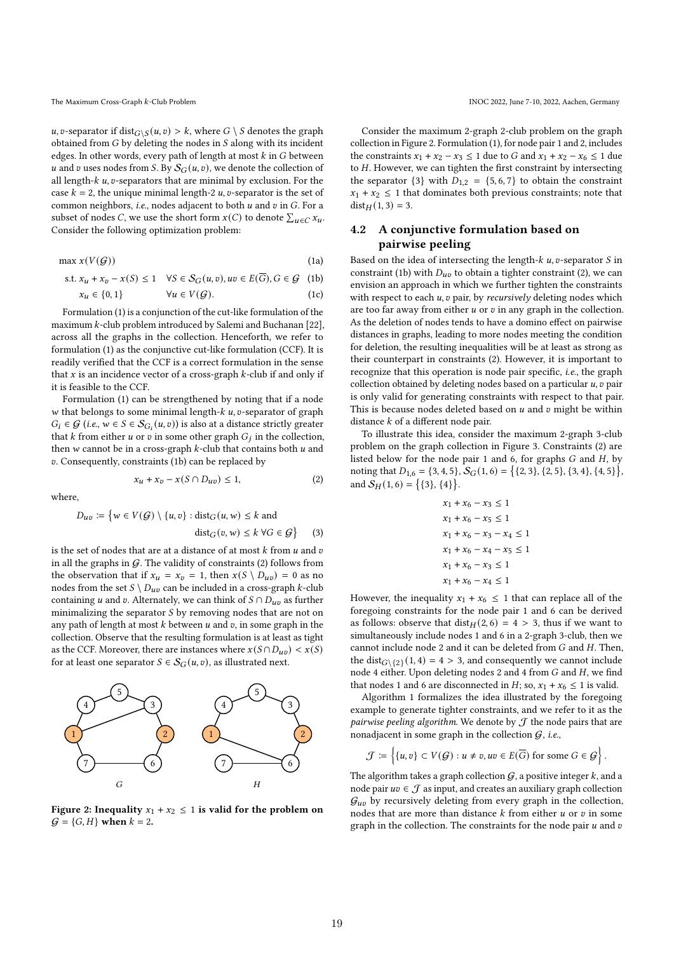*u*, *v*-separator if dist $G \ S$  (*u*, *v*) > *k*, where  $G \ S$  denotes the graph obtained from  $G$  by deleting the nodes in  $S$  along with its incident edges. In other words, every path of length at most  $k$  in  $G$  between u and v uses nodes from S. By  $S_G(u, v)$ , we denote the collection of all length- $k$   $u$ ,  $v$ -separators that are minimal by exclusion. For the case  $k = 2$ , the unique minimal length-2  $u$ , v-separator is the set of common neighbors, i.e., nodes adjacent to both  $u$  and  $v$  in  $G$ . For a subset of nodes C, we use the short form  $x(C)$  to denote  $\sum_{u \in C} x_u$ . Consider the following optimization problem:

$$
\max x(V(G))\tag{1a}
$$

s.t. 
$$
x_u + x_v - x(S) \le 1
$$
  $\forall S \in S_G(u, v), uv \in E(\overline{G}), G \in \mathcal{G}$  (1b)  
 $x_u \in \{0, 1\}$   $\forall u \in V(\mathcal{G}).$  (1c)

Formulation (1) is a conjunction of the cut-like formulation of the maximum  $k$ -club problem introduced by Salemi and Buchanan [22], across all the graphs in the collection. Henceforth, we refer to formulation (1) as the conjunctive cut-like formulation (CCF). It is readily verified that the CCF is a correct formulation in the sense that  $x$  is an incidence vector of a cross-graph  $k$ -club if and only if it is feasible to the CCF.

Formulation (1) can be strengthened by noting that if a node  $w$  that belongs to some minimal length- $k$   $u$ ,  $v$ -separator of graph  $G_i \in \mathcal{G}$  (i.e.,  $w \in S \in \mathcal{S}_{G_i}(u, v)$ ) is also at a distance strictly greater that k from either u or v in some other graph  $G_i$  in the collection, then  $w$  cannot be in a cross-graph  $k$ -club that contains both  $u$  and . Consequently, constraints (1b) can be replaced by

 $x_u + x_v - x(S \cap D_{uv}) \leq 1,$  (2)

where,

 $D_{uv} \coloneqq \{ w \in V(\mathcal{G}) \setminus \{u, v\} : \text{dist}_G(u, w) \leq k \}$  and  $dist_G(v, w) \leq k \; \forall G \in \mathcal{G}$ (3)

is the set of nodes that are at a distance of at most  $k$  from  $u$  and  $v$ in all the graphs in  $G$ . The validity of constraints (2) follows from the observation that if  $x_u = x_v = 1$ , then  $x(S \setminus D_{uv}) = 0$  as no nodes from the set  $S \setminus D_{uv}$  can be included in a cross-graph k-club containing *u* and *v*. Alternately, we can think of  $S \cap D_{uv}$  as further minimalizing the separator  $S$  by removing nodes that are not on any path of length at most  $k$  between  $u$  and  $v$ , in some graph in the collection. Observe that the resulting formulation is at least as tight as the CCF. Moreover, there are instances where  $x(S \cap D_{uv}) < x(S)$ for at least one separator  $S \in S_G(u, v)$ , as illustrated next.



Figure 2: Inequality  $x_1 + x_2 \le 1$  is valid for the problem on  $G = {G, H}$  when  $k = 2$ .

Consider the maximum 2-graph 2-club problem on the graph collection in Figure 2. Formulation (1), for node pair 1 and 2, includes the constraints  $x_1 + x_2 - x_3 \le 1$  due to G and  $x_1 + x_2 - x_6 \le 1$  due to  $H$ . However, we can tighten the first constraint by intersecting the separator  $\{3\}$  with  $D_{1,2} = \{5, 6, 7\}$  to obtain the constraint  $x_1 + x_2 \leq 1$  that dominates both previous constraints; note that  $dist_H(1, 3) = 3.$ 

# 4.2 A conjunctive formulation based on pairwise peeling

Based on the idea of intersecting the length- $k$   $u$ ,  $v$ -separator  $S$  in constraint (1b) with  $D_{uv}$  to obtain a tighter constraint (2), we can envision an approach in which we further tighten the constraints with respect to each  $u$ ,  $v$  pair, by *recursively* deleting nodes which are too far away from either  $u$  or  $v$  in any graph in the collection. As the deletion of nodes tends to have a domino effect on pairwise distances in graphs, leading to more nodes meeting the condition for deletion, the resulting inequalities will be at least as strong as their counterpart in constraints (2). However, it is important to recognize that this operation is node pair specific, i.e., the graph collection obtained by deleting nodes based on a particular  $u$ ,  $v$  pair is only valid for generating constraints with respect to that pair. This is because nodes deleted based on  $u$  and  $v$  might be within distance  $k$  of a different node pair.

To illustrate this idea, consider the maximum 2-graph 3-club problem on the graph collection in Figure 3. Constraints (2) are listed below for the node pair 1 and 6, for graphs  $G$  and  $H$ , by noting that  $D_{1,6} = \{3, 4, 5\}, \overline{\mathcal{S}_G(1, 6)} = \{\{2, 3\}, \{2, 5\}, \{3, 4\}, \{4, 5\}\}\$ and  $S_H(1,6) = \{\{3\}, \{4\}\}.$ 

$$
x_1 + x_6 - x_3 \le 1
$$
  
\n
$$
x_1 + x_6 - x_5 \le 1
$$
  
\n
$$
x_1 + x_6 - x_3 - x_4 \le 1
$$
  
\n
$$
x_1 + x_6 - x_4 - x_5 \le 1
$$
  
\n
$$
x_1 + x_6 - x_3 \le 1
$$
  
\n
$$
x_1 + x_6 - x_4 \le 1
$$

However, the inequality  $x_1 + x_6 \leq 1$  that can replace all of the foregoing constraints for the node pair 1 and 6 can be derived as follows: observe that  $dist_H(2, 6) = 4 > 3$ , thus if we want to simultaneously include nodes 1 and 6 in a 2-graph 3-club, then we cannot include node 2 and it can be deleted from  $G$  and  $H$ . Then, the dist $G\setminus\{2\}$  (1, 4) = 4 > 3, and consequently we cannot include node 4 either. Upon deleting nodes 2 and 4 from  $G$  and  $H$ , we find that nodes 1 and 6 are disconnected in  $H$ ; so,  $x_1 + x_6 \le 1$  is valid.

Algorithm 1 formalizes the idea illustrated by the foregoing example to generate tighter constraints, and we refer to it as the pairwise peeling algorithm. We denote by  $J$  the node pairs that are nonadjacent in some graph in the collection  $G$ , i.e.,

$$
\mathcal{J} \coloneqq \left\{ \{u, v\} \subset V(\mathcal{G}) : u \neq v, uv \in E(\overline{G}) \text{ for some } G \in \mathcal{G} \right\}.
$$

The algorithm takes a graph collection  $G$ , a positive integer  $k$ , and a node pair  $uv \in \mathcal{J}$  as input, and creates an auxiliary graph collection  $G_{\mu\nu}$  by recursively deleting from every graph in the collection, nodes that are more than distance  $k$  from either  $u$  or  $v$  in some graph in the collection. The constraints for the node pair  $u$  and  $v$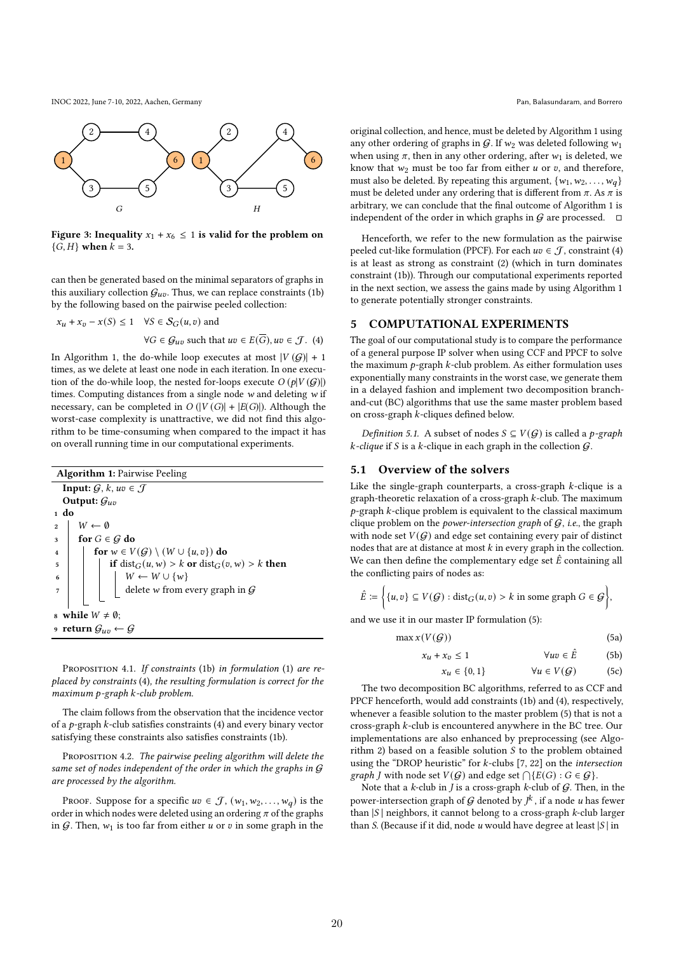INOC 2022, June 7-10, 2022, Aachen, Germany Pan, Balasundaram, and Borrero



Figure 3: Inequality  $x_1 + x_6 \le 1$  is valid for the problem on  ${G, H}$  when  $k = 3$ .

can then be generated based on the minimal separators of graphs in this auxiliary collection  $G_{uv}$ . Thus, we can replace constraints (1b) by the following based on the pairwise peeled collection:

$$
x_u + x_v - x(S) \le 1 \quad \forall S \in \mathcal{S}_G(u, v) \text{ and}
$$
  

$$
\forall G \in \mathcal{G}_{uv} \text{ such that } uv \in E(\overline{G}), uv \in \mathcal{J}. \tag{4}
$$

In Algorithm 1, the do-while loop executes at most  $|V(G)| + 1$ times, as we delete at least one node in each iteration. In one execution of the do-while loop, the nested for-loops execute  $O(p|V(G)|)$ times. Computing distances from a single node  $w$  and deleting  $w$  if necessary, can be completed in  $O(|V(G)| + |E(G)|)$ . Although the worst-case complexity is unattractive, we did not find this algorithm to be time-consuming when compared to the impact it has on overall running time in our computational experiments.

| <b>Algorithm 1: Pairwise Peeling</b>                              |                                                                         |  |  |  |  |  |  |
|-------------------------------------------------------------------|-------------------------------------------------------------------------|--|--|--|--|--|--|
| <b>Input:</b> $G, k, uv \in \mathcal{J}$                          |                                                                         |  |  |  |  |  |  |
| Output: $\mathcal{G}_{uv}$                                        |                                                                         |  |  |  |  |  |  |
| $1$ do                                                            |                                                                         |  |  |  |  |  |  |
| $W \leftarrow \emptyset$<br>$\overline{2}$                        |                                                                         |  |  |  |  |  |  |
| for $G \in \mathcal{G}$ do<br>3                                   |                                                                         |  |  |  |  |  |  |
| for $w \in V(G) \setminus (W \cup \{u, v\})$ do<br>$\overline{4}$ |                                                                         |  |  |  |  |  |  |
| 5                                                                 | if $dist_G(u, w) > k$ or $dist_G(v, w) > k$ then                        |  |  |  |  |  |  |
| 6                                                                 |                                                                         |  |  |  |  |  |  |
|                                                                   | $W \leftarrow W \cup \{w\}$ delete $w$ from every graph in $\mathcal G$ |  |  |  |  |  |  |
|                                                                   |                                                                         |  |  |  |  |  |  |
| s while $W \neq \emptyset$ ;                                      |                                                                         |  |  |  |  |  |  |
| 9 return $G_{uv} \leftarrow G$                                    |                                                                         |  |  |  |  |  |  |

PROPOSITION 4.1. If constraints (1b) in formulation (1) are replaced by constraints (4), the resulting formulation is correct for the  $maximum p-graph k-club problem.$ 

The claim follows from the observation that the incidence vector of a  $p$ -graph  $k$ -club satisfies constraints (4) and every binary vector satisfying these constraints also satisfies constraints (1b).

PROPOSITION 4.2. The pairwise peeling algorithm will delete the same set of nodes independent of the order in which the graphs in  $G$ are processed by the algorithm.

PROOF. Suppose for a specific  $uv \in \mathcal{J}$ ,  $(w_1, w_2, \ldots, w_d)$  is the order in which nodes were deleted using an ordering  $\pi$  of the graphs in G. Then,  $w_1$  is too far from either u or v in some graph in the

original collection, and hence, must be deleted by Algorithm 1 using any other ordering of graphs in  $G$ . If  $w_2$  was deleted following  $w_1$ when using  $\pi$ , then in any other ordering, after  $w_1$  is deleted, we know that  $w_2$  must be too far from either  $u$  or  $v$ , and therefore, must also be deleted. By repeating this argument,  $\{w_1, w_2, \ldots, w_d\}$ must be deleted under any ordering that is different from  $\pi$ . As  $\pi$  is arbitrary, we can conclude that the final outcome of Algorithm 1 is independent of the order in which graphs in  $G$  are processed.  $\square$ 

Henceforth, we refer to the new formulation as the pairwise peeled cut-like formulation (PPCF). For each  $uv \in \mathcal{J}$ , constraint (4) is at least as strong as constraint (2) (which in turn dominates constraint (1b)). Through our computational experiments reported in the next section, we assess the gains made by using Algorithm 1 to generate potentially stronger constraints.

## 5 COMPUTATIONAL EXPERIMENTS

The goal of our computational study is to compare the performance of a general purpose IP solver when using CCF and PPCF to solve the maximum  $p$ -graph  $k$ -club problem. As either formulation uses exponentially many constraints in the worst case, we generate them in a delayed fashion and implement two decomposition branchand-cut (BC) algorithms that use the same master problem based on cross-graph  $k$ -cliques defined below.

*Definition 5.1.* A subset of nodes  $S \subseteq V(G)$  is called a *p*-graph  $k$ -clique if S is a  $k$ -clique in each graph in the collection  $G$ .

## 5.1 Overview of the solvers

Like the single-graph counterparts, a cross-graph  $k$ -clique is a graph-theoretic relaxation of a cross-graph  $k$ -club. The maximum  $p$ -graph  $k$ -clique problem is equivalent to the classical maximum clique problem on the *power-intersection graph* of  $G$ , *i.e.*, the graph with node set  $V(\mathcal{G})$  and edge set containing every pair of distinct nodes that are at distance at most  $k$  in every graph in the collection. We can then define the complementary edge set  $\hat{E}$  containing all the conflicting pairs of nodes as:

$$
\hat{E} \coloneqq \Big\{ \{u, v\} \subseteq V(G) : \text{dist}_G(u, v) > k \text{ in some graph } G \in \mathcal{G} \Big\},
$$

and we use it in our master IP formulation (5):

$$
\max x(V(G))\tag{5a}
$$

$$
x_u + x_v \le 1 \qquad \qquad \forall uv \in \hat{E} \qquad (5b)
$$

$$
x_u \in \{0, 1\} \qquad \qquad \forall u \in V(\mathcal{G}) \tag{5c}
$$

The two decomposition BC algorithms, referred to as CCF and PPCF henceforth, would add constraints (1b) and (4), respectively, whenever a feasible solution to the master problem (5) that is not a cross-graph  $k$ -club is encountered anywhere in the BC tree. Our implementations are also enhanced by preprocessing (see Algorithm 2) based on a feasible solution  $S$  to the problem obtained using the "DROP heuristic" for  $k$ -clubs [7, 22] on the intersection *graph J* with node set  $V(G)$  and edge set  $\bigcap \{E(G) : G \in G\}$ .

Note that a  $k$ -club in  $J$  is a cross-graph  $k$ -club of  $G$ . Then, in the power-intersection graph of G denoted by  $\overrightarrow{f}$ , if a node u has fewer than  $|S|$  neighbors, it cannot belong to a cross-graph  $k$ -club larger than S. (Because if it did, node  $u$  would have degree at least  $|S|$  in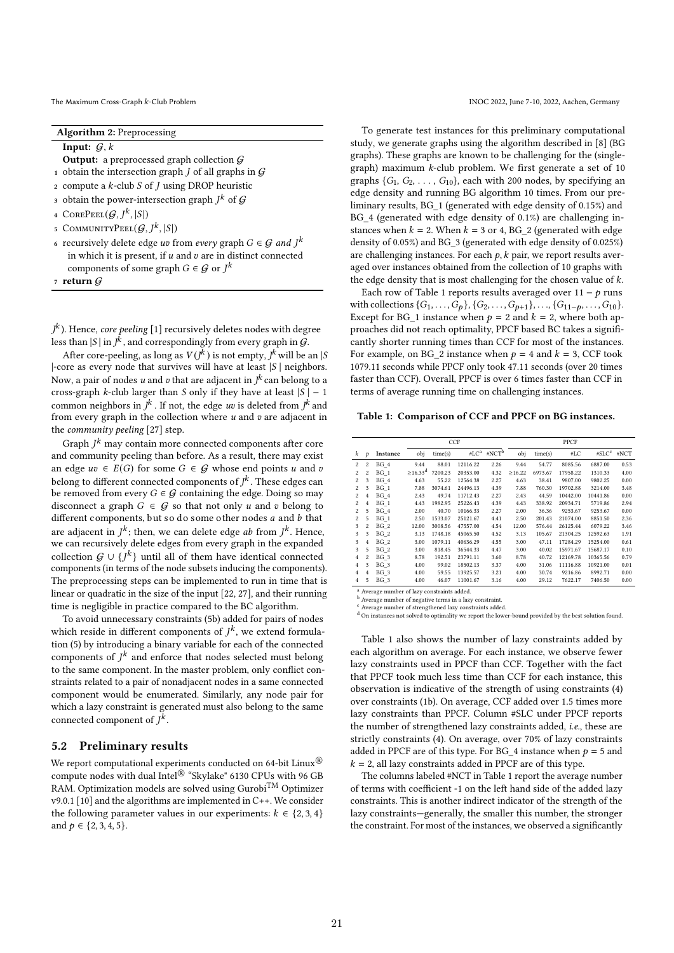The Maximum Cross-Graph k-Club Problem INOC 2022, June 7-10, 2022, Aachen, Germany

Algorithm 2: Preprocessing

Input:  $G, k$ 

- **Output:** a preprocessed graph collection  $G$
- 1 obtain the intersection graph  $J$  of all graphs in  $G$
- 2 compute a  $k$ -club  $S$  of  $J$  using DROP heuristic
- $_3\,$  obtain the power-intersection graph  $J^k\,$  of  ${\cal G}$
- 4 COREPEEL $(\mathcal{G}, J^k, |S|)$
- 5 COMMUNITYPEEL $(G, J^k, |S|)$
- 6 recursively delete edge  $uv$  from every graph  $G \in \mathcal{G}$  and  $J^k$ in which it is present, if  $u$  and  $v$  are in distinct connected components of some graph  $G \in \mathcal{G}$  or  $J^k$
- 7 return  $G$

 $\bar{J}^k$  ). Hence, *core peeling* [1] recursively deletes nodes with degree less than  $|S|$  in  $J^{\hat{k}}$ , and correspondingly from every graph in  $\mathcal{G}$ .

After core-peeling, as long as  $V(j^k)$  is not empty,  $j^k$  will be an |S  $|$ -core as every node that survives will have at least  $|S|$  neighbors. Now, a pair of nodes u and v that are adjacent in  $I^k$  can belong to a cross-graph *k*-club larger than *S* only if they have at least  $|S| - 1$ common neighbors in  $\overline{I}^k$ . If not, the edge *uv* is deleted from  $\overline{I}^k$  and from every graph in the collection where  $u$  and  $v$  are adjacent in the community peeling [27] step.

Graph  $I^k$  may contain more connected components after core and community peeling than before. As a result, there may exist an edge  $uv \in E(G)$  for some  $G \in \mathcal{G}$  whose end points u and v belong to different connected components of  $I^k$  . These edges can be removed from every  $G \in \mathcal{G}$  containing the edge. Doing so may disconnect a graph  $G \in \mathcal{G}$  so that not only u and v belong to different components, but so do some other nodes  $a$  and  $b$  that are adiacent in  $I^k$ : then, we can delete edge *ab* from  $I^k$ . Hence, we can recursively delete edges from every graph in the expanded collection  $G \cup \{f^k\}$  until all of them have identical connected components (in terms of the node subsets inducing the components). The preprocessing steps can be implemented to run in time that is linear or quadratic in the size of the input [22, 27], and their running time is negligible in practice compared to the BC algorithm.

To avoid unnecessary constraints (5b) added for pairs of nodes which reside in different components of  $I^k$ , we extend formulation (5) by introducing a binary variable for each of the connected components of  $I^k$  and enforce that nodes selected must belong to the same component. In the master problem, only conflict constraints related to a pair of nonadjacent nodes in a same connected component would be enumerated. Similarly, any node pair for which a lazy constraint is generated must also belong to the same connected component of  $\vec{l}^k$ .

## 5.2 Preliminary results

We report computational experiments conducted on 64-bit Linux<sup>®</sup> compute nodes with dual Intel® "Skylake" 6130 CPUs with 96 GB RAM. Optimization models are solved using Gurobi<sup>TM</sup> Optimizer v9.0.1 [10] and the algorithms are implemented in C++. We consider the following parameter values in our experiments:  $k \in \{2, 3, 4\}$ and  $p \in \{2, 3, 4, 5\}$ .

To generate test instances for this preliminary computational study, we generate graphs using the algorithm described in [8] (BG graphs). These graphs are known to be challenging for the (singlegraph) maximum  $k$ -club problem. We first generate a set of 10 graphs  $\{G_1, G_2, \ldots, G_{10}\}$ , each with 200 nodes, by specifying an edge density and running BG algorithm 10 times. From our preliminary results, BG\_1 (generated with edge density of 0.15%) and BG\_4 (generated with edge density of 0.1%) are challenging instances when  $k = 2$ . When  $k = 3$  or 4, BG\_2 (generated with edge density of 0.05%) and BG\_3 (generated with edge density of 0.025%) are challenging instances. For each  $p$ ,  $k$  pair, we report results averaged over instances obtained from the collection of 10 graphs with the edge density that is most challenging for the chosen value of  $k$ .

Each row of Table 1 reports results averaged over  $11 - p$  runs with collections  $\{G_1, \ldots, G_p\}$ ,  $\{G_2, \ldots, G_{p+1}\}$ , ...,  $\{G_{11-p}, \ldots, G_{10}\}$ . Except for BG 1 instance when  $p = 2$  and  $k = 2$ , where both approaches did not reach optimality, PPCF based BC takes a significantly shorter running times than CCF for most of the instances. For example, on BG\_2 instance when  $p = 4$  and  $k = 3$ , CCF took 1079.11 seconds while PPCF only took 47.11 seconds (over 20 times faster than CCF). Overall, PPCF is over 6 times faster than CCF in terms of average running time on challenging instances.

#### Table 1: Comparison of CCF and PPCF on BG instances.

|                |                         |          | CCF              |         |          |                   | PPCF   |         |          |                   |      |
|----------------|-------------------------|----------|------------------|---------|----------|-------------------|--------|---------|----------|-------------------|------|
| k              | p                       | Instance | obj              | time(s) | $#LC^a$  | #NCT <sup>b</sup> | obj    | time(s) | #LC      | #SLC <sup>c</sup> | #NCT |
| $\overline{2}$ | 2                       | BG 4     | 9.44             | 88.01   | 12116.22 | 2.26              | 9.44   | 54.77   | 8085.56  | 6887.00           | 0.53 |
| $\overline{2}$ | 2                       | BG 1     | $\geq 16.33^{d}$ | 7200.23 | 20353.00 | 4.32              | >16.22 | 6973.67 | 17958.22 | 1310.33           | 4.00 |
| $\overline{2}$ | 3                       | $BG_4$   | 4.63             | 55.22   | 12564.38 | 2.27              | 4.63   | 38.41   | 9807.00  | 9802.25           | 0.00 |
| $\overline{2}$ | 3                       | $BG_1$   | 7.88             | 3074.61 | 24496.13 | 4.39              | 7.88   | 760.30  | 19702.88 | 3214.00           | 3.48 |
| $\overline{2}$ | $\overline{4}$          | BG 4     | 2.43             | 49.74   | 11712.43 | 2.27              | 2.43   | 44.59   | 10442.00 | 10441.86          | 0.00 |
| $\overline{2}$ | $\overline{\mathbf{4}}$ | BG 1     | 4.43             | 1982.95 | 25226.43 | 4.39              | 4.43   | 338.92  | 20934.71 | 5719.86           | 2.94 |
| $\overline{2}$ | 5                       | BG 4     | 2.00             | 40.70   | 10166.33 | 2.27              | 2.00   | 36.36   | 9253.67  | 9253.67           | 0.00 |
| $\overline{2}$ | 5                       | BG 1     | 2.50             | 1533.07 | 25121.67 | 4.41              | 2.50   | 201.43  | 21074.00 | 8851.50           | 2.36 |
| 3              | $\overline{\mathbf{c}}$ | BG 2     | 12.00            | 3008.56 | 47557.00 | 4.54              | 12.00  | 576.44  | 26125.44 | 6079.22           | 3.46 |
| 3              | 3                       | BG 2     | 3.13             | 1748.18 | 45065.50 | 4.52              | 3.13   | 105.67  | 21304.25 | 12592.63          | 1.91 |
| 3              | $\overline{\mathbf{4}}$ | BG 2     | 3.00             | 1079.11 | 40636.29 | 4.55              | 3.00   | 47.11   | 17284.29 | 15254.00          | 0.61 |
| 3              | 5                       | BG 2     | 3.00             | 818.45  | 36544.33 | 4.47              | 3.00   | 40.02   | 15971.67 | 15687.17          | 0.10 |
| $\overline{4}$ | 2                       | BG 3     | 8.78             | 192.51  | 23791.11 | 3.60              | 8.78   | 40.72   | 12169.78 | 10365.56          | 0.79 |
| $\overline{4}$ | 3                       | BG 3     | 4.00             | 99.02   | 18502.13 | 3.37              | 4.00   | 31.06   | 11116.88 | 10921.00          | 0.01 |
| 4              | 4                       | BG 3     | 4.00             | 59.55   | 13925.57 | 3.21              | 4.00   | 30.74   | 9216.86  | 8992.71           | 0.00 |
| $\overline{4}$ | 5                       | BG 3     | 4.00             | 46.07   | 11001.67 | 3.16              | 4.00   | 29.12   | 7622.17  | 7406.50           | 0.00 |

<sup>a</sup> Average number of lazy constraints added.

 $^{\rm b}$  Average number of negative terms in a lazy constraint.<br> $^{\rm c}$  Average number of strengthened lazy constraints added.

d On instances not solved to optimality we report the lower-bound provided by the best solution found

Table 1 also shows the number of lazy constraints added by each algorithm on average. For each instance, we observe fewer lazy constraints used in PPCF than CCF. Together with the fact that PPCF took much less time than CCF for each instance, this observation is indicative of the strength of using constraints (4) over constraints (1b). On average, CCF added over 1.5 times more lazy constraints than PPCF. Column #SLC under PPCF reports the number of strengthened lazy constraints added, i.e., these are strictly constraints (4). On average, over 70% of lazy constraints added in PPCF are of this type. For BG\_4 instance when  $p = 5$  and  $k = 2$ , all lazy constraints added in PPCF are of this type.

The columns labeled #NCT in Table 1 report the average number of terms with coefficient -1 on the left hand side of the added lazy constraints. This is another indirect indicator of the strength of the lazy constraints—generally, the smaller this number, the stronger the constraint. For most of the instances, we observed a significantly